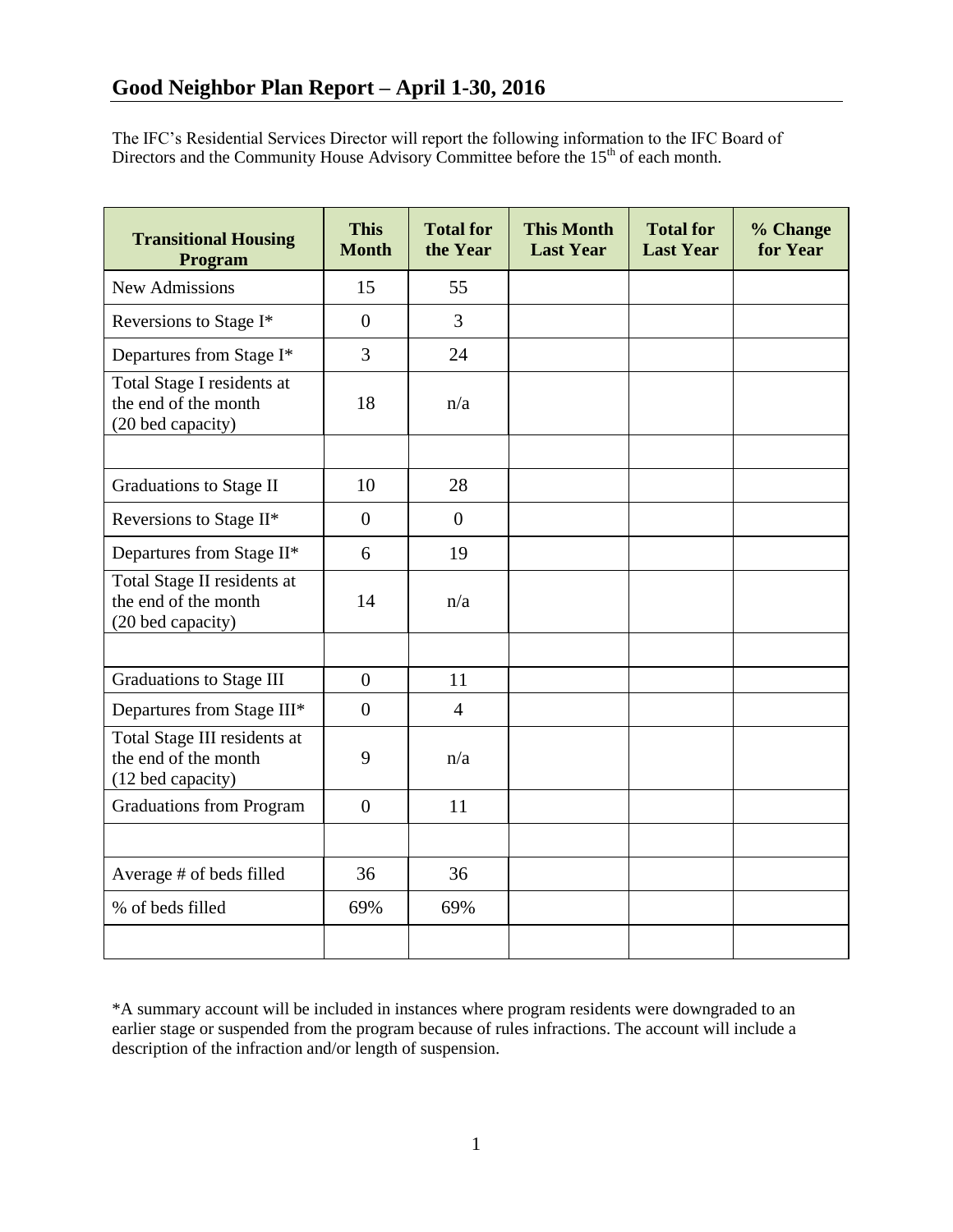The IFC's Residential Services Director will report the following information to the IFC Board of Directors and the Community House Advisory Committee before the  $15<sup>th</sup>$  of each month.

| <b>Transitional Housing</b><br>Program                                    | <b>This</b><br><b>Month</b> | <b>Total for</b><br>the Year | <b>This Month</b><br><b>Last Year</b> | <b>Total for</b><br><b>Last Year</b> | % Change<br>for Year |
|---------------------------------------------------------------------------|-----------------------------|------------------------------|---------------------------------------|--------------------------------------|----------------------|
| <b>New Admissions</b>                                                     | 15                          | 55                           |                                       |                                      |                      |
| Reversions to Stage I*                                                    | $\overline{0}$              | $\overline{3}$               |                                       |                                      |                      |
| Departures from Stage I*                                                  | 3                           | 24                           |                                       |                                      |                      |
| Total Stage I residents at<br>the end of the month<br>(20 bed capacity)   | 18                          | n/a                          |                                       |                                      |                      |
|                                                                           |                             |                              |                                       |                                      |                      |
| <b>Graduations to Stage II</b>                                            | 10                          | 28                           |                                       |                                      |                      |
| Reversions to Stage II*                                                   | $\overline{0}$              | $\boldsymbol{0}$             |                                       |                                      |                      |
| Departures from Stage II*                                                 | 6                           | 19                           |                                       |                                      |                      |
| Total Stage II residents at<br>the end of the month<br>(20 bed capacity)  | 14                          | n/a                          |                                       |                                      |                      |
|                                                                           |                             |                              |                                       |                                      |                      |
| <b>Graduations to Stage III</b>                                           | $\overline{0}$              | 11                           |                                       |                                      |                      |
| Departures from Stage III*                                                | $\overline{0}$              | $\overline{4}$               |                                       |                                      |                      |
| Total Stage III residents at<br>the end of the month<br>(12 bed capacity) | 9                           | n/a                          |                                       |                                      |                      |
| <b>Graduations from Program</b>                                           | $\overline{0}$              | 11                           |                                       |                                      |                      |
|                                                                           |                             |                              |                                       |                                      |                      |
| Average # of beds filled                                                  | 36                          | 36                           |                                       |                                      |                      |
| % of beds filled                                                          | 69%                         | 69%                          |                                       |                                      |                      |
|                                                                           |                             |                              |                                       |                                      |                      |

\*A summary account will be included in instances where program residents were downgraded to an earlier stage or suspended from the program because of rules infractions. The account will include a description of the infraction and/or length of suspension.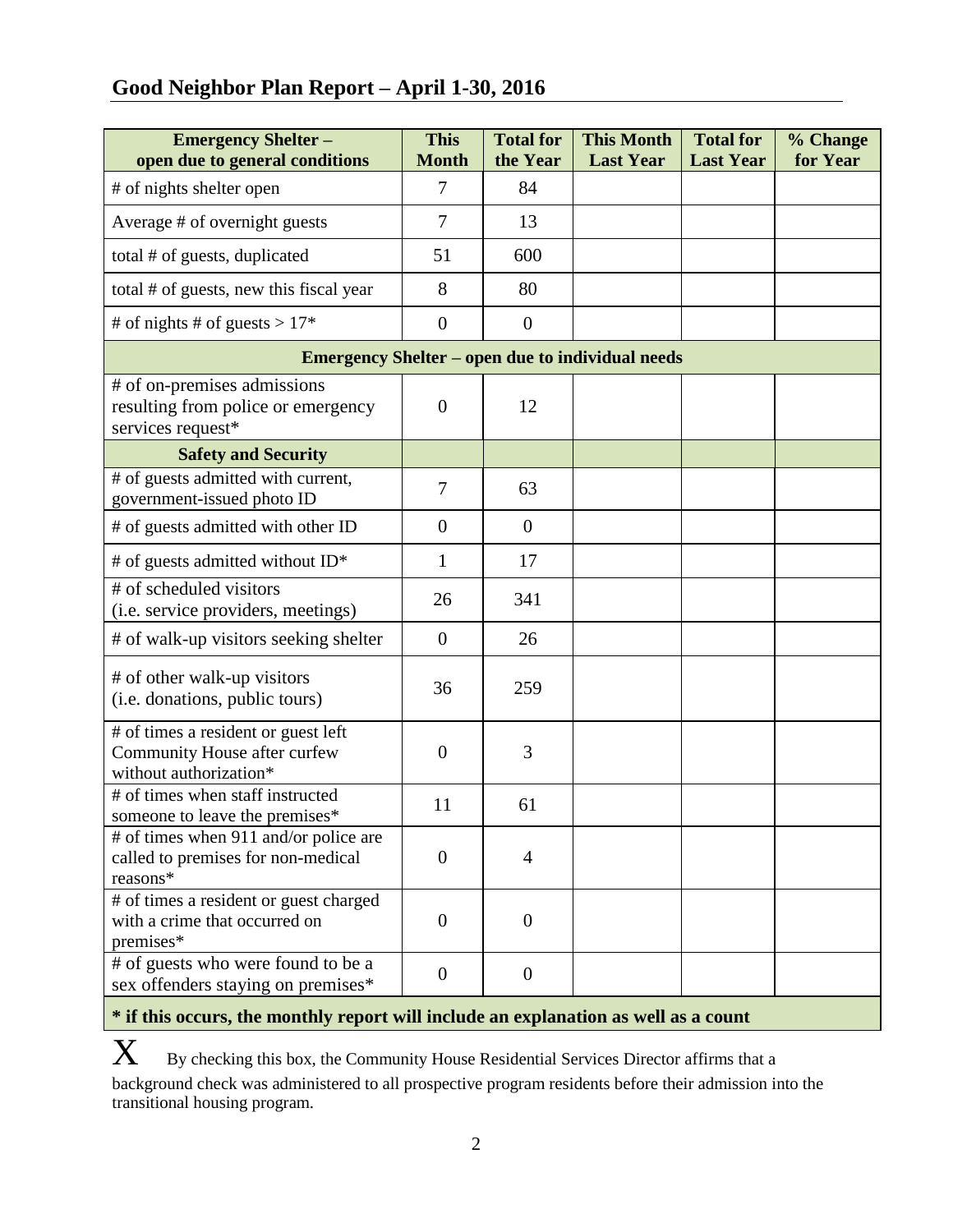# **Good Neighbor Plan Report – April 1-30, 2016**

| <b>Emergency Shelter -</b><br>open due to general conditions                                  | <b>This</b><br><b>Month</b> | <b>Total for</b><br>the Year | <b>This Month</b><br><b>Last Year</b> | <b>Total for</b><br><b>Last Year</b> | % Change<br>for Year |  |  |  |
|-----------------------------------------------------------------------------------------------|-----------------------------|------------------------------|---------------------------------------|--------------------------------------|----------------------|--|--|--|
| # of nights shelter open                                                                      | $\overline{7}$              | 84                           |                                       |                                      |                      |  |  |  |
| Average # of overnight guests                                                                 | $\overline{7}$              | 13                           |                                       |                                      |                      |  |  |  |
| total # of guests, duplicated                                                                 | 51                          | 600                          |                                       |                                      |                      |  |  |  |
| total # of guests, new this fiscal year                                                       | 8                           | 80                           |                                       |                                      |                      |  |  |  |
| # of nights # of guests > $17*$                                                               | $\overline{0}$              | $\overline{0}$               |                                       |                                      |                      |  |  |  |
| <b>Emergency Shelter – open due to individual needs</b>                                       |                             |                              |                                       |                                      |                      |  |  |  |
| # of on-premises admissions<br>resulting from police or emergency<br>services request*        | $\overline{0}$              | 12                           |                                       |                                      |                      |  |  |  |
| <b>Safety and Security</b>                                                                    |                             |                              |                                       |                                      |                      |  |  |  |
| # of guests admitted with current,<br>government-issued photo ID                              | $\overline{7}$              | 63                           |                                       |                                      |                      |  |  |  |
| # of guests admitted with other ID                                                            | $\overline{0}$              | $\boldsymbol{0}$             |                                       |                                      |                      |  |  |  |
| # of guests admitted without ID*                                                              | 1                           | 17                           |                                       |                                      |                      |  |  |  |
| # of scheduled visitors<br>(i.e. service providers, meetings)                                 | 26                          | 341                          |                                       |                                      |                      |  |  |  |
| # of walk-up visitors seeking shelter                                                         | $\overline{0}$              | 26                           |                                       |                                      |                      |  |  |  |
| # of other walk-up visitors<br>(i.e. donations, public tours)                                 | 36                          | 259                          |                                       |                                      |                      |  |  |  |
| # of times a resident or guest left<br>Community House after curfew<br>without authorization* | $\overline{0}$              | 3                            |                                       |                                      |                      |  |  |  |
| # of times when staff instructed<br>someone to leave the premises*                            | 11                          | 61                           |                                       |                                      |                      |  |  |  |
| # of times when 911 and/or police are<br>called to premises for non-medical<br>reasons*       | $\theta$                    | 4                            |                                       |                                      |                      |  |  |  |
| # of times a resident or guest charged<br>with a crime that occurred on<br>premises*          | $\theta$                    | $\overline{0}$               |                                       |                                      |                      |  |  |  |
| # of guests who were found to be a<br>sex offenders staying on premises*                      | $\theta$                    | $\overline{0}$               |                                       |                                      |                      |  |  |  |

## **\* if this occurs, the monthly report will include an explanation as well as a count**

 $\mathbf X$  By checking this box, the Community House Residential Services Director affirms that a background check was administered to all prospective program residents before their admission into the transitional housing program.